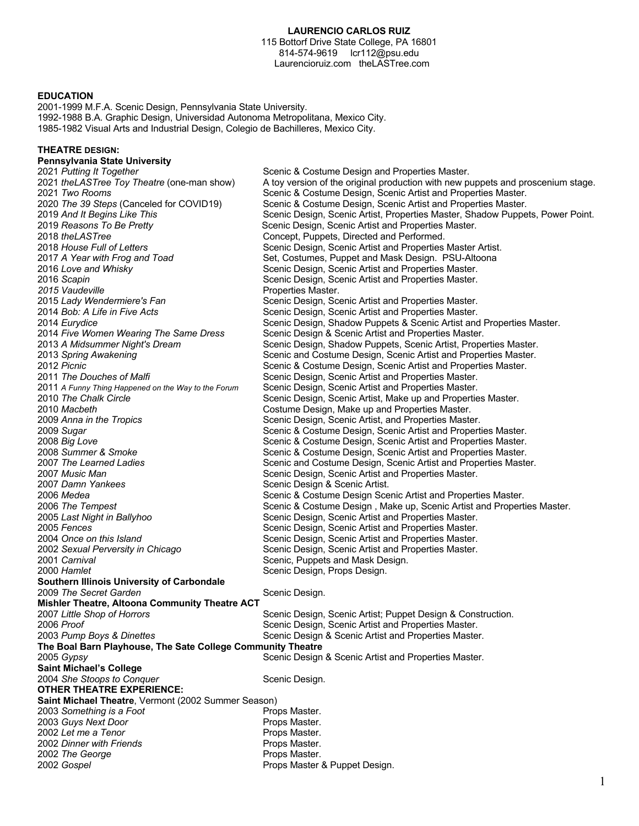## **LAURENCIO CARLOS RUIZ**

115 Bottorf Drive State College, PA 16801 814-574-9619 lcr112@psu.edu Laurencioruiz.com theLASTree.com

#### **EDUCATION**

**THEATRE DESIGN:** 

2001-1999 M.F.A. Scenic Design, Pennsylvania State University. 1992-1988 B.A. Graphic Design, Universidad Autonoma Metropolitana, Mexico City. 1985-1982 Visual Arts and Industrial Design, Colegio de Bachilleres, Mexico City.

**Pennsylvania State University**<br>2021 Putting It Together Scenic & Costume Design and Properties Master. *theLASTree Toy Theatre* (one-man show) A toy version of the original production with new puppets and proscenium stage. *Two Rooms* Scenic & Costume Design, Scenic Artist and Properties Master. *The 39 Steps* (Canceled for COVID19) Scenic & Costume Design, Scenic Artist and Properties Master. 2019 And It Begins Like This **Supplem Scenic Design, Scenic Artist, Properties Master, Shadow Puppets, Power Point.**  *Reasons To Be Pretty* Scenic Design, Scenic Artist and Properties Master. *theLASTree* Concept, Puppets, Directed and Performed. *House Full of Letters* Scenic Design, Scenic Artist and Properties Master Artist. *A Year with Frog and Toad* Set, Costumes, Puppet and Mask Design. PSU-Altoona Scenic Design, Scenic Artist and Properties Master. *Scapin* Scenic Design, Scenic Artist and Properties Master. **2015 Vaudeville Properties Master.** *Lady Wendermiere's Fan* Scenic Design, Scenic Artist and Properties Master. *Bob: A Life in Five Acts* Scenic Design, Scenic Artist and Properties Master. *Eurydice* Scenic Design, Shadow Puppets & Scenic Artist and Properties Master. *Five Women Wearing The Same Dress* Scenic Design & Scenic Artist and Properties Master. Scenic Design, Shadow Puppets, Scenic Artist, Properties Master. *Spring Awakening* Scenic and Costume Design, Scenic Artist and Properties Master. *Picnic* Scenic & Costume Design, Scenic Artist and Properties Master. 2011 The Douches of Malfi **Scenic Design, Scenic Artist and Properties Master.** *A Funny Thing Happened on the Way to the Forum* Scenic Design, Scenic Artist and Properties Master. Scenic Design, Scenic Artist, Make up and Properties Master. *Macbeth* Costume Design, Make up and Properties Master. *Anna in the Tropics* Scenic Design, Scenic Artist, and Properties Master. *Sugar* **Scenic & Costume Design, Scenic Artist and Properties Master.**<br>2008 *Big Love* Scenic & Costume Design, Scenic Artist and Properties Master. Scenic & Costume Design, Scenic Artist and Properties Master. *Summer & Smoke* Scenic & Costume Design, Scenic Artist and Properties Master. *The Learned Ladies* Scenic and Costume Design, Scenic Artist and Properties Master. *Music Man* Stephen Scenic Design, Scenic Artist and Properties Master. *Damn Yankees* Scenic Design & Scenic Artist. *Medea* Scenic & Costume Design Scenic Artist and Properties Master. *The Tempest* Scenic & Costume Design , Make up, Scenic Artist and Properties Master. *Last Night in Ballyhoo* Scenic Design, Scenic Artist and Properties Master. *Fences* Scenic Design, Scenic Artist and Properties Master. *Once on this Island* Scenic Design, Scenic Artist and Properties Master. Scenic Design, Scenic Artist and Properties Master. *Carnival* Scenic, Puppets and Mask Design. *Hamlet* **Scenic Design, Props Design.** 2000 *Hamlet* **Scenic Design.** 2000 *Hamlet* **Scenic Design. Southern Illinois University of Carbondale 2009 The Secret Garden** Scenic Design. **Mishler Theatre, Altoona Community Theatre ACT** *Little Shop of Horrors* Scenic Design, Scenic Artist; Puppet Design & Construction. *Proof* Scenic Design, Scenic Artist and Properties Master. *Pump Boys & Dinettes* Scenic Design & Scenic Artist and Properties Master. **The Boal Barn Playhouse, The Sate College Community Theatre** *Gypsy* Scenic Design & Scenic Artist and Properties Master. **Saint Michael's College** *She Stoops to Conquer* Scenic Design. **OTHER THEATRE EXPERIENCE: Saint Michael Theatre**, Vermont (2002 Summer Season) 2003 Something is a Foot **Props Master. 2003 Guys Next Door Props Master.** 2002 Let me a Tenor **Props** Master. *Dinner with Friends* Props Master. **2002 The George**  Props Master. *Gospel* Props Master & Puppet Design.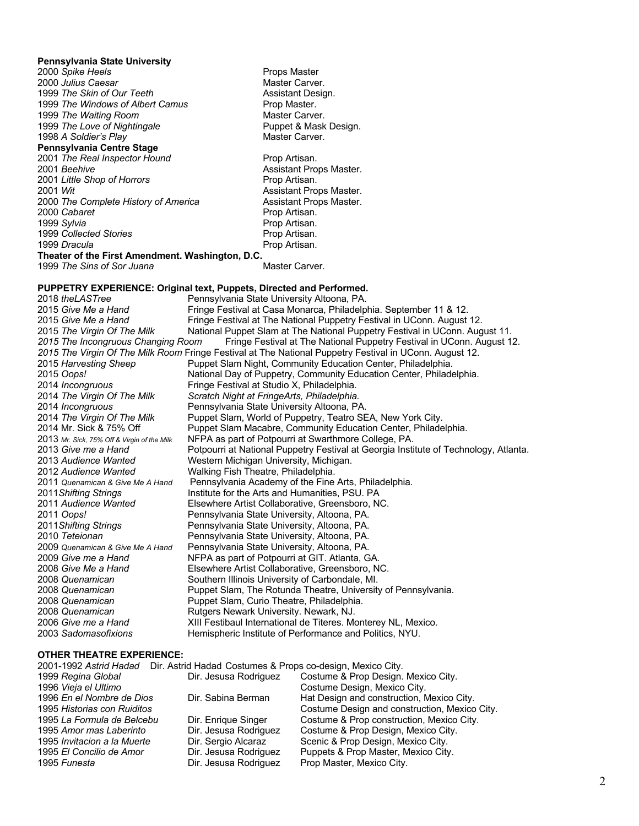#### **Pennsylvania State University**

**2000 Spike Heels Props Master** Props Master *Julius Caesar* **Master Carver.** Master Carver. *The Skin of Our Teeth* **Assistant Design.** Assistant Design. *The Windows of Albert Camus* **Prop Master.** *The Waiting Room* (1999) 1999 Master Carver.<br>1999 *The Love of Nightingale* (1999) Master Christene Puppet & Mask Design. *The Love of Nightingale* **Puppet & Mask Puppet & Mask Puppet & Mask Puppet & Mask Puppet & Mask Puppet & Mask Puppet & Mask Puppet & Mask Puppet & Mask Puppet & Mask Puppet & Mask Puppet & Mask Puppet & Mask Puppet &** 1998 A Soldier's Play **Pennsylvania Centre Stage**  *The Real Inspector Hound* Prop Artisan. *Little Shop of Horrors* **Prop Artisan.** 2001 Wit<br>
2000 *The Complete History of America* Assistant Props Master.<br>
Assistant Props Master. 2000 *The Complete History of America* Assistant Prop Artisan.<br>2000 *Cabaret* Artisan. 2000 Cabaret<br>1999 Sylvia 1999 Collected Stories **Prop Artisan.** *Dracula* **Prop Artisan. Theater of the First Amendment. Washington, D.C.**

**Assistant Props Master.** 

**Prop Artisan.** 

*The Sins of Sor Juana* Master Carver.

**PUPPETRY EXPERIENCE: Original text, Puppets, Directed and Performed.** *theLASTree* Pennsylvania State University Altoona, PA. *Give Me a Hand* Fringe Festival at Casa Monarca, Philadelphia. September 11 & 12. Fringe Festival at The National Puppetry Festival in UConn. August 12. *The Virgin Of The Milk* National Puppet Slam at The National Puppetry Festival in UConn. August 11. *2015 The Incongruous Changing Room* Fringe Festival at The National Puppetry Festival in UConn. August 12. *2015 The Virgin Of The Milk Room* Fringe Festival at The National Puppetry Festival in UConn. August 12. *Harvesting Sheep* Puppet Slam Night, Community Education Center, Philadelphia. *Oops!* National Day of Puppetry, Community Education Center, Philadelphia. *Incongruous* Fringe Festival at Studio X, Philadelphia. *The Virgin Of The Milk Scratch Night at FringeArts, Philadelphia. Incongruous* Pennsylvania State University Altoona, PA. Puppet Slam, World of Puppetry, Teatro SEA, New York City. 2014 Mr. Sick & 75% Off Puppet Slam Macabre, Community Education Center, Philadelphia.<br>2013 Mr Sick 75% Off & Virgin of the Milk NFPA as part of Potpourri at Swarthmore College, PA. **NFPA as part of Potpourri at Swarthmore College, PA.** *Give me a Hand* Potpourri at National Puppetry Festival at Georgia Institute of Technology, Atlanta. *Audience Wanted* Western Michigan University, Michigan. *Audience Wanted* Walking Fish Theatre, Philadelphia.<br>2011 *Quenamican & Give Me A Hand* Pennsylvania Academy of the Fine *Quenamican & Give Me A Hand* Pennsylvania Academy of the Fine Arts, Philadelphia. *Shifting Strings* Institute for the Arts and Humanities, PSU. PA 2011 *Audience Wanted* Elsewhere Artist Collaborative, Greensboro, NC. *Oops!* Pennsylvania State University, Altoona, PA. *Shifting Strings* Pennsylvania State University, Altoona, PA. *Teteionan* Pennsylvania State University, Altoona, PA. *Quenamican & Give Me A Hand* Pennsylvania State University, Altoona, PA. *Give me a Hand* NFPA as part of Potpourri at GIT. Atlanta, GA. *Give Me a Hand* Elsewhere Artist Collaborative, Greensboro, NC. *Quenamican* Southern Illinois University of Carbondale, MI. *Quenamican* Puppet Slam, The Rotunda Theatre, University of Pennsylvania. Puppet Slam, Curio Theatre, Philadelphia. *Quenamican* Rutgers Newark University. Newark, NJ. *Give me a Hand* XIII Festibaul International de Titeres. Monterey NL, Mexico. *Sadomasofixions* Hemispheric Institute of Performance and Politics, NYU.

#### **OTHER THEATRE EXPERIENCE:**

| 2001-1992 Astrid Hadad      | Dir. Astrid Hadad Costumes & Props co-design, Mexico City. |                                               |
|-----------------------------|------------------------------------------------------------|-----------------------------------------------|
| 1999 Regina Global          | Dir. Jesusa Rodriguez                                      | Costume & Prop Design. Mexico City.           |
| 1996 Vieja el Ultimo        |                                                            | Costume Design, Mexico City.                  |
| 1996 En el Nombre de Dios   | Dir. Sabina Berman                                         | Hat Design and construction, Mexico City.     |
| 1995 Historias con Ruiditos |                                                            | Costume Design and construction, Mexico City. |
| 1995 La Formula de Belcebu  | Dir. Enrique Singer                                        | Costume & Prop construction, Mexico City.     |
| 1995 Amor mas Laberinto     | Dir. Jesusa Rodriguez                                      | Costume & Prop Design, Mexico City.           |
| 1995 Invitacion a la Muerte | Dir. Sergio Alcaraz                                        | Scenic & Prop Design, Mexico City.            |
| 1995 El Concilio de Amor    | Dir. Jesusa Rodriguez                                      | Puppets & Prop Master, Mexico City.           |
| 1995 Funesta                | Dir. Jesusa Rodriguez                                      | Prop Master, Mexico City.                     |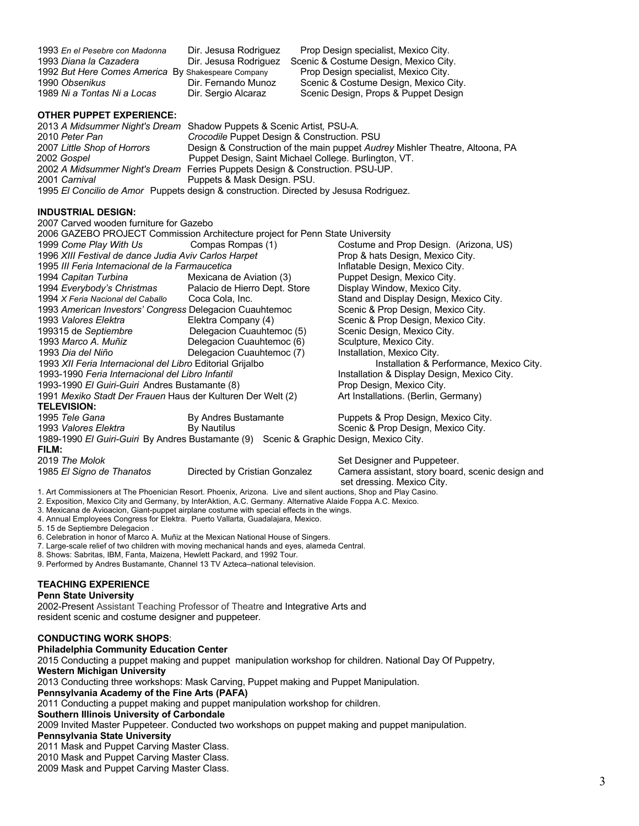| 1993 En el Pesebre con Madonna                     | Dir. Jesusa Rodriguez | Prop Design specialist, Mexico City.  |  |
|----------------------------------------------------|-----------------------|---------------------------------------|--|
| 1993 Diana la Cazadera                             | Dir. Jesusa Rodriguez | Scenic & Costume Design, Mexico City. |  |
| 1992 But Here Comes America By Shakespeare Company |                       | Prop Design specialist, Mexico City.  |  |
| 1990 Obsenikus                                     | Dir. Fernando Munoz   | Scenic & Costume Design, Mexico City. |  |
| 1989 Ni a Tontas Ni a Locas                        | Dir. Sergio Alcaraz   | Scenic Design, Props & Puppet Design  |  |

#### **OTHER PUPPET EXPERIENCE:**

|                             | 2013 A Midsummer Night's Dream Shadow Puppets & Scenic Artist, PSU-A.                 |
|-----------------------------|---------------------------------------------------------------------------------------|
| 2010 Peter Pan              | Crocodile Puppet Design & Construction. PSU                                           |
| 2007 Little Shop of Horrors | Design & Construction of the main puppet Audrey Mishler Theatre, Altoona, PA          |
| 2002 Gospel                 | Puppet Design, Saint Michael College. Burlington, VT.                                 |
|                             | 2002 A Midsummer Night's Dream Ferries Puppets Design & Construction. PSU-UP.         |
| 2001 Carnival               | Puppets & Mask Design. PSU.                                                           |
|                             | 1995 El Concilio de Amor Puppets design & construction. Directed by Jesusa Rodriguez. |

### **INDUSTRIAL DESIGN:**

|                                                                                                                  | 2007 Carved wooden furniture for Gazebo                                                    |                               |                                                                                |  |  |
|------------------------------------------------------------------------------------------------------------------|--------------------------------------------------------------------------------------------|-------------------------------|--------------------------------------------------------------------------------|--|--|
|                                                                                                                  | 2006 GAZEBO PROJECT Commission Architecture project for Penn State University              |                               |                                                                                |  |  |
|                                                                                                                  | 1999 Come Play With Us                                                                     | Compas Rompas (1)             | Costume and Prop Design. (Arizona, US)                                         |  |  |
| 1996 XIII Festival de dance Judia Aviv Carlos Harpet                                                             |                                                                                            |                               | Prop & hats Design, Mexico City.                                               |  |  |
| 1995 III Feria Internacional de la Farmaucetica                                                                  |                                                                                            |                               | Inflatable Design, Mexico City.                                                |  |  |
|                                                                                                                  | 1994 Capitan Turbina                                                                       | Mexicana de Aviation (3)      | Puppet Design, Mexico City.                                                    |  |  |
|                                                                                                                  | 1994 Everybody's Christmas Palacio de Hierro Dept. Store                                   |                               | Display Window, Mexico City.                                                   |  |  |
|                                                                                                                  | 1994 X Feria Nacional del Caballo                                                          | Coca Cola, Inc.               | Stand and Display Design, Mexico City.                                         |  |  |
|                                                                                                                  | 1993 American Investors' Congress Delegacion Cuauhtemoc                                    |                               | Scenic & Prop Design, Mexico City.                                             |  |  |
|                                                                                                                  | 1993 Valores Elektra                                                                       | Elektra Company (4)           | Scenic & Prop Design, Mexico City.                                             |  |  |
|                                                                                                                  | 199315 de Septiembre                                                                       | Delegacion Cuauhtemoc (5)     | Scenic Design, Mexico City.                                                    |  |  |
|                                                                                                                  | 1993 Marco A. Muñiz                                                                        | Delegacion Cuauhtemoc (6)     | Sculpture, Mexico City.                                                        |  |  |
|                                                                                                                  | 1993 Dia del Niño                                                                          | Delegacion Cuauhtemoc (7)     | Installation, Mexico City.                                                     |  |  |
| 1993 XII Feria Internacional del Libro Editorial Grijalbo                                                        |                                                                                            |                               | Installation & Performance, Mexico City.                                       |  |  |
| 1993-1990 Feria Internacional del Libro Infantil                                                                 |                                                                                            |                               | Installation & Display Design, Mexico City.                                    |  |  |
| 1993-1990 El Guiri-Guiri Andres Bustamante (8)                                                                   |                                                                                            |                               | Prop Design, Mexico City.                                                      |  |  |
| 1991 Mexiko Stadt Der Frauen Haus der Kulturen Der Welt (2)                                                      |                                                                                            |                               | Art Installations. (Berlin, Germany)                                           |  |  |
|                                                                                                                  | <b>TELEVISION:</b>                                                                         |                               |                                                                                |  |  |
|                                                                                                                  | 1995 Tele Gana                                                                             | By Andres Bustamante          | Puppets & Prop Design, Mexico City.                                            |  |  |
|                                                                                                                  | 1993 Valores Elektra                                                                       | By Nautilus                   | Scenic & Prop Design, Mexico City.                                             |  |  |
| 1989-1990 El Guiri-Guiri By Andres Bustamante (9) Scenic & Graphic Design, Mexico City.                          |                                                                                            |                               |                                                                                |  |  |
|                                                                                                                  | FILM:                                                                                      |                               |                                                                                |  |  |
|                                                                                                                  | 2019 The Molok                                                                             |                               | Set Designer and Puppeteer.                                                    |  |  |
|                                                                                                                  | 1985 El Signo de Thanatos                                                                  | Directed by Cristian Gonzalez | Camera assistant, story board, scenic design and<br>set dressing. Mexico City. |  |  |
| 1. Art Commissioners at The Phoenician Resort. Phoenix, Arizona. Live and silent auctions, Shop and Play Casino. |                                                                                            |                               |                                                                                |  |  |
| 2. Exposition, Mexico City and Germany, by InterAktion, A.C. Germany. Alternative Alaide Foppa A.C. Mexico.      |                                                                                            |                               |                                                                                |  |  |
|                                                                                                                  | 3. Mexicana de Avioacion, Giant-puppet airplane costume with special effects in the wings. |                               |                                                                                |  |  |
|                                                                                                                  | 4. Annual Employees Congress for Elektra. Puerto Vallarta, Guadalajara, Mexico.            |                               |                                                                                |  |  |

5. 15 de Septiembre Delegacion .

6. Celebration in honor of Marco A. Muñiz at the Mexican National House of Singers.

7. Large-scale relief of two children with moving mechanical hands and eyes, alameda Central.

8. Shows: Sabritas, IBM, Fanta, Maizena, Hewlett Packard, and 1992 Tour.

9. Performed by Andres Bustamante, Channel 13 TV Azteca–national television.

# **TEACHING EXPERIENCE**

#### **Penn State University**

2002-Present Assistant Teaching Professor of Theatre and Integrative Arts and resident scenic and costume designer and puppeteer.

#### **CONDUCTING WORK SHOPS**:

**Philadelphia Community Education Center**

2015 Conducting a puppet making and puppet manipulation workshop for children. National Day Of Puppetry, **Western Michigan University** 2013 Conducting three workshops: Mask Carving, Puppet making and Puppet Manipulation. **Pennsylvania Academy of the Fine Arts (PAFA)** 2011 Conducting a puppet making and puppet manipulation workshop for children. **Southern Illinois University of Carbondale** 2009 Invited Master Puppeteer. Conducted two workshops on puppet making and puppet manipulation. **Pennsylvania State University** 2011 Mask and Puppet Carving Master Class. 2010 Mask and Puppet Carving Master Class.

2009 Mask and Puppet Carving Master Class.